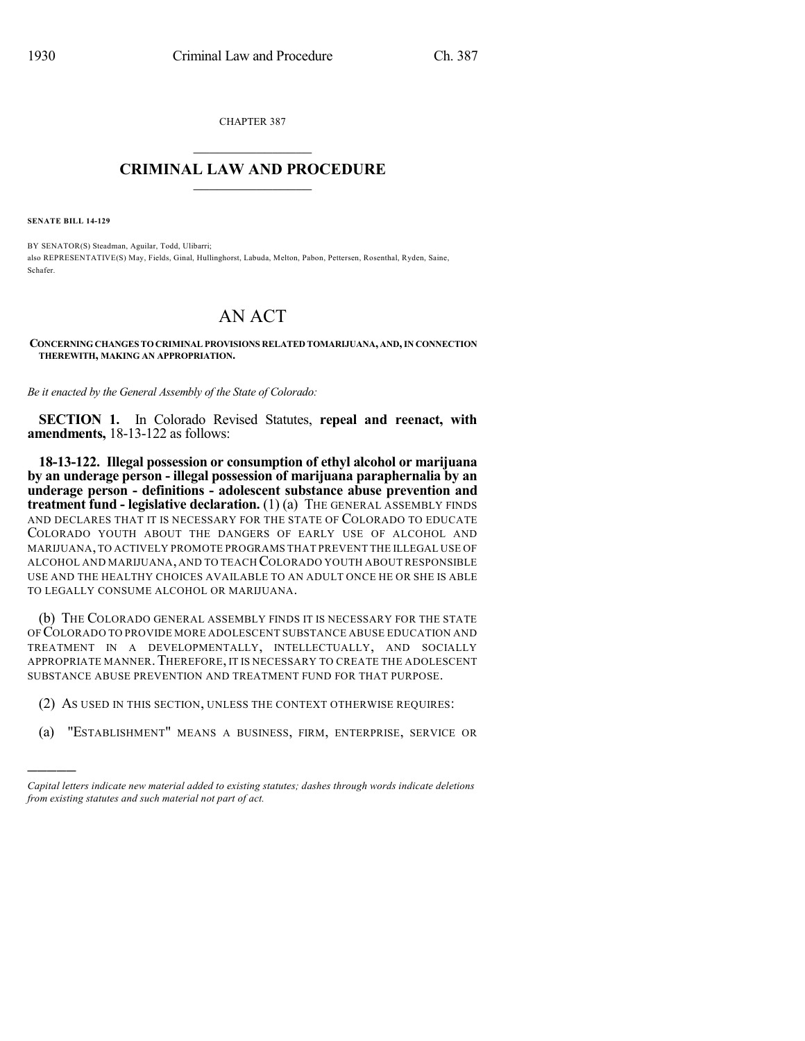CHAPTER 387

## $\mathcal{L}_\text{max}$  . The set of the set of the set of the set of the set of the set of the set of the set of the set of the set of the set of the set of the set of the set of the set of the set of the set of the set of the set **CRIMINAL LAW AND PROCEDURE**  $\frac{1}{2}$  ,  $\frac{1}{2}$  ,  $\frac{1}{2}$  ,  $\frac{1}{2}$  ,  $\frac{1}{2}$  ,  $\frac{1}{2}$  ,  $\frac{1}{2}$

**SENATE BILL 14-129**

)))))

BY SENATOR(S) Steadman, Aguilar, Todd, Ulibarri; also REPRESENTATIVE(S) May, Fields, Ginal, Hullinghorst, Labuda, Melton, Pabon, Pettersen, Rosenthal, Ryden, Saine, Schafer.

## AN ACT

**CONCERNING CHANGES TO CRIMINAL PROVISIONS RELATED TOMARIJUANA, AND,IN CONNECTION THEREWITH, MAKING AN APPROPRIATION.**

*Be it enacted by the General Assembly of the State of Colorado:*

**SECTION 1.** In Colorado Revised Statutes, **repeal and reenact, with amendments,** 18-13-122 as follows:

**18-13-122. Illegal possession or consumption of ethyl alcohol or marijuana by an underage person - illegal possession of marijuana paraphernalia by an underage person - definitions - adolescent substance abuse prevention and treatment fund - legislative declaration.** (1) (a) THE GENERAL ASSEMBLY FINDS AND DECLARES THAT IT IS NECESSARY FOR THE STATE OF COLORADO TO EDUCATE COLORADO YOUTH ABOUT THE DANGERS OF EARLY USE OF ALCOHOL AND MARIJUANA,TO ACTIVELY PROMOTE PROGRAMS THAT PREVENT THE ILLEGAL USE OF ALCOHOL AND MARIJUANA, AND TO TEACH COLORADO YOUTH ABOUT RESPONSIBLE USE AND THE HEALTHY CHOICES AVAILABLE TO AN ADULT ONCE HE OR SHE IS ABLE TO LEGALLY CONSUME ALCOHOL OR MARIJUANA.

(b) THE COLORADO GENERAL ASSEMBLY FINDS IT IS NECESSARY FOR THE STATE OF COLORADO TO PROVIDE MORE ADOLESCENT SUBSTANCE ABUSE EDUCATION AND TREATMENT IN A DEVELOPMENTALLY, INTELLECTUALLY, AND SOCIALLY APPROPRIATE MANNER. THEREFORE, IT IS NECESSARY TO CREATE THE ADOLESCENT SUBSTANCE ABUSE PREVENTION AND TREATMENT FUND FOR THAT PURPOSE.

- (2) AS USED IN THIS SECTION, UNLESS THE CONTEXT OTHERWISE REQUIRES:
- (a) "ESTABLISHMENT" MEANS A BUSINESS, FIRM, ENTERPRISE, SERVICE OR

*Capital letters indicate new material added to existing statutes; dashes through words indicate deletions from existing statutes and such material not part of act.*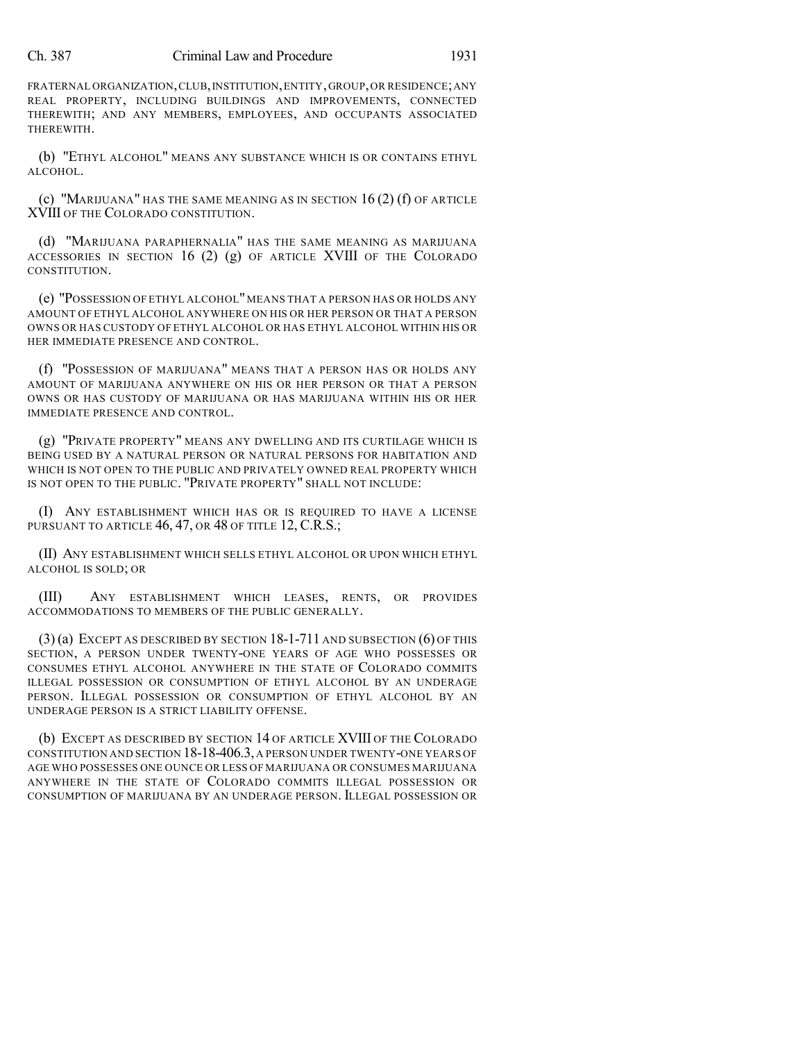## Ch. 387 Criminal Law and Procedure 1931

FRATERNAL ORGANIZATION,CLUB,INSTITUTION,ENTITY,GROUP,OR RESIDENCE;ANY REAL PROPERTY, INCLUDING BUILDINGS AND IMPROVEMENTS, CONNECTED THEREWITH; AND ANY MEMBERS, EMPLOYEES, AND OCCUPANTS ASSOCIATED THEREWITH.

(b) "ETHYL ALCOHOL" MEANS ANY SUBSTANCE WHICH IS OR CONTAINS ETHYL ALCOHOL.

(c) "MARIJUANA" HAS THE SAME MEANING AS IN SECTION  $16(2)$  (f) of article XVIII OF THE COLORADO CONSTITUTION.

(d) "MARIJUANA PARAPHERNALIA" HAS THE SAME MEANING AS MARIJUANA ACCESSORIES IN SECTION 16  $(2)$   $(g)$  of article XVIII of the Colorado CONSTITUTION.

(e) "POSSESSION OF ETHYL ALCOHOL"MEANS THAT A PERSON HAS OR HOLDS ANY AMOUNT OF ETHYL ALCOHOL ANYWHERE ON HIS OR HER PERSON OR THAT A PERSON OWNS OR HAS CUSTODY OF ETHYL ALCOHOL OR HAS ETHYL ALCOHOL WITHIN HIS OR HER IMMEDIATE PRESENCE AND CONTROL.

(f) "POSSESSION OF MARIJUANA" MEANS THAT A PERSON HAS OR HOLDS ANY AMOUNT OF MARIJUANA ANYWHERE ON HIS OR HER PERSON OR THAT A PERSON OWNS OR HAS CUSTODY OF MARIJUANA OR HAS MARIJUANA WITHIN HIS OR HER IMMEDIATE PRESENCE AND CONTROL.

(g) "PRIVATE PROPERTY" MEANS ANY DWELLING AND ITS CURTILAGE WHICH IS BEING USED BY A NATURAL PERSON OR NATURAL PERSONS FOR HABITATION AND WHICH IS NOT OPEN TO THE PUBLIC AND PRIVATELY OWNED REAL PROPERTY WHICH IS NOT OPEN TO THE PUBLIC. "PRIVATE PROPERTY" SHALL NOT INCLUDE:

(I) ANY ESTABLISHMENT WHICH HAS OR IS REQUIRED TO HAVE A LICENSE PURSUANT TO ARTICLE 46, 47, OR 48 OF TITLE 12, C.R.S.;

(II) ANY ESTABLISHMENT WHICH SELLS ETHYL ALCOHOL OR UPON WHICH ETHYL ALCOHOL IS SOLD; OR

(III) ANY ESTABLISHMENT WHICH LEASES, RENTS, OR PROVIDES ACCOMMODATIONS TO MEMBERS OF THE PUBLIC GENERALLY.

(3) (a) EXCEPT AS DESCRIBED BY SECTION 18-1-711 AND SUBSECTION (6) OF THIS SECTION, A PERSON UNDER TWENTY-ONE YEARS OF AGE WHO POSSESSES OR CONSUMES ETHYL ALCOHOL ANYWHERE IN THE STATE OF COLORADO COMMITS ILLEGAL POSSESSION OR CONSUMPTION OF ETHYL ALCOHOL BY AN UNDERAGE PERSON. ILLEGAL POSSESSION OR CONSUMPTION OF ETHYL ALCOHOL BY AN UNDERAGE PERSON IS A STRICT LIABILITY OFFENSE.

(b) EXCEPT AS DESCRIBED BY SECTION 14 OF ARTICLE XVIII OF THE COLORADO CONSTITUTION AND SECTION 18-18-406.3, A PERSON UNDER TWENTY-ONE YEARS OF AGE WHO POSSESSES ONE OUNCE OR LESS OF MARIJUANA OR CONSUMES MARIJUANA ANYWHERE IN THE STATE OF COLORADO COMMITS ILLEGAL POSSESSION OR CONSUMPTION OF MARIJUANA BY AN UNDERAGE PERSON. ILLEGAL POSSESSION OR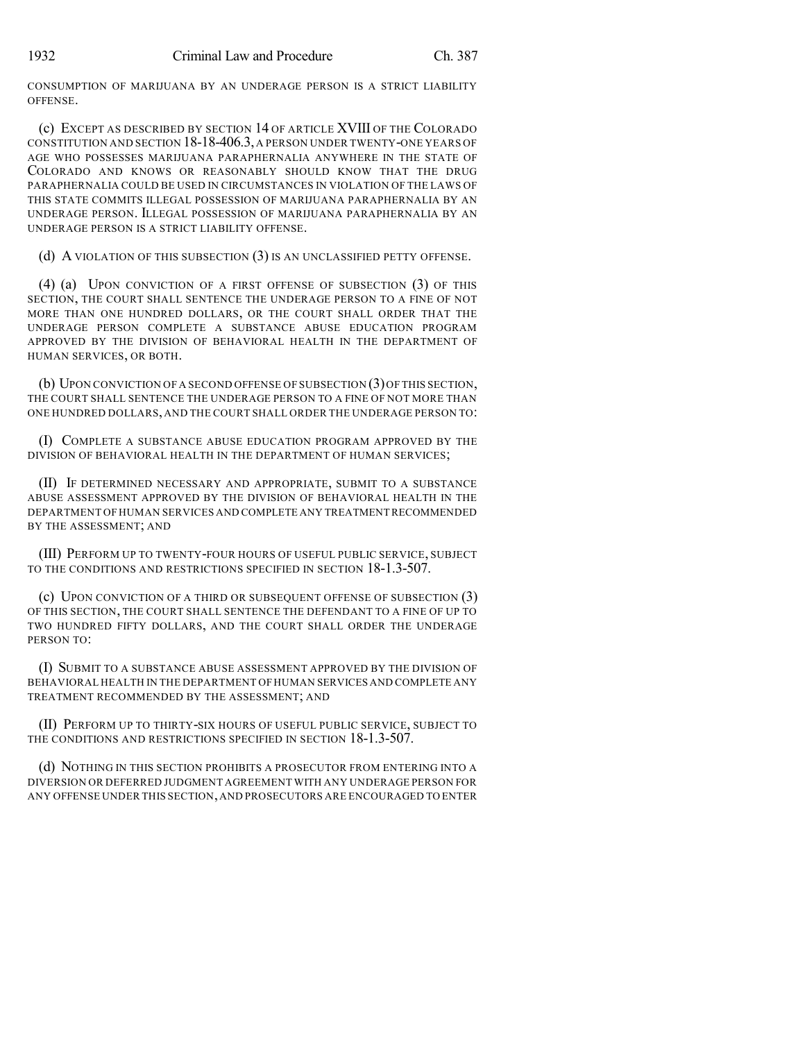CONSUMPTION OF MARIJUANA BY AN UNDERAGE PERSON IS A STRICT LIABILITY OFFENSE.

(c) EXCEPT AS DESCRIBED BY SECTION 14 OF ARTICLE XVIII OF THE COLORADO CONSTITUTION AND SECTION 18-18-406.3, A PERSON UNDER TWENTY-ONE YEARS OF AGE WHO POSSESSES MARIJUANA PARAPHERNALIA ANYWHERE IN THE STATE OF COLORADO AND KNOWS OR REASONABLY SHOULD KNOW THAT THE DRUG PARAPHERNALIA COULD BE USED IN CIRCUMSTANCES IN VIOLATION OF THE LAWS OF THIS STATE COMMITS ILLEGAL POSSESSION OF MARIJUANA PARAPHERNALIA BY AN UNDERAGE PERSON. ILLEGAL POSSESSION OF MARIJUANA PARAPHERNALIA BY AN UNDERAGE PERSON IS A STRICT LIABILITY OFFENSE.

(d) A VIOLATION OF THIS SUBSECTION (3) IS AN UNCLASSIFIED PETTY OFFENSE.

(4) (a) UPON CONVICTION OF A FIRST OFFENSE OF SUBSECTION (3) OF THIS SECTION, THE COURT SHALL SENTENCE THE UNDERAGE PERSON TO A FINE OF NOT MORE THAN ONE HUNDRED DOLLARS, OR THE COURT SHALL ORDER THAT THE UNDERAGE PERSON COMPLETE A SUBSTANCE ABUSE EDUCATION PROGRAM APPROVED BY THE DIVISION OF BEHAVIORAL HEALTH IN THE DEPARTMENT OF HUMAN SERVICES, OR BOTH.

(b) UPON CONVICTION OF A SECOND OFFENSE OF SUBSECTION (3)OF THIS SECTION, THE COURT SHALL SENTENCE THE UNDERAGE PERSON TO A FINE OF NOT MORE THAN ONE HUNDRED DOLLARS, AND THE COURT SHALL ORDER THE UNDERAGE PERSON TO:

(I) COMPLETE A SUBSTANCE ABUSE EDUCATION PROGRAM APPROVED BY THE DIVISION OF BEHAVIORAL HEALTH IN THE DEPARTMENT OF HUMAN SERVICES;

(II) IF DETERMINED NECESSARY AND APPROPRIATE, SUBMIT TO A SUBSTANCE ABUSE ASSESSMENT APPROVED BY THE DIVISION OF BEHAVIORAL HEALTH IN THE DEPARTMENT OF HUMAN SERVICES AND COMPLETE ANY TREATMENT RECOMMENDED BY THE ASSESSMENT; AND

(III) PERFORM UP TO TWENTY-FOUR HOURS OF USEFUL PUBLIC SERVICE, SUBJECT TO THE CONDITIONS AND RESTRICTIONS SPECIFIED IN SECTION 18-1.3-507.

(c) UPON CONVICTION OF A THIRD OR SUBSEQUENT OFFENSE OF SUBSECTION (3) OF THIS SECTION, THE COURT SHALL SENTENCE THE DEFENDANT TO A FINE OF UP TO TWO HUNDRED FIFTY DOLLARS, AND THE COURT SHALL ORDER THE UNDERAGE PERSON TO:

(I) SUBMIT TO A SUBSTANCE ABUSE ASSESSMENT APPROVED BY THE DIVISION OF BEHAVIORAL HEALTH IN THE DEPARTMENT OFHUMAN SERVICES AND COMPLETE ANY TREATMENT RECOMMENDED BY THE ASSESSMENT; AND

(II) PERFORM UP TO THIRTY-SIX HOURS OF USEFUL PUBLIC SERVICE, SUBJECT TO THE CONDITIONS AND RESTRICTIONS SPECIFIED IN SECTION 18-1.3-507.

(d) NOTHING IN THIS SECTION PROHIBITS A PROSECUTOR FROM ENTERING INTO A DIVERSION OR DEFERRED JUDGMENT AGREEMENTWITH ANY UNDERAGE PERSON FOR ANY OFFENSE UNDER THIS SECTION,AND PROSECUTORS ARE ENCOURAGED TO ENTER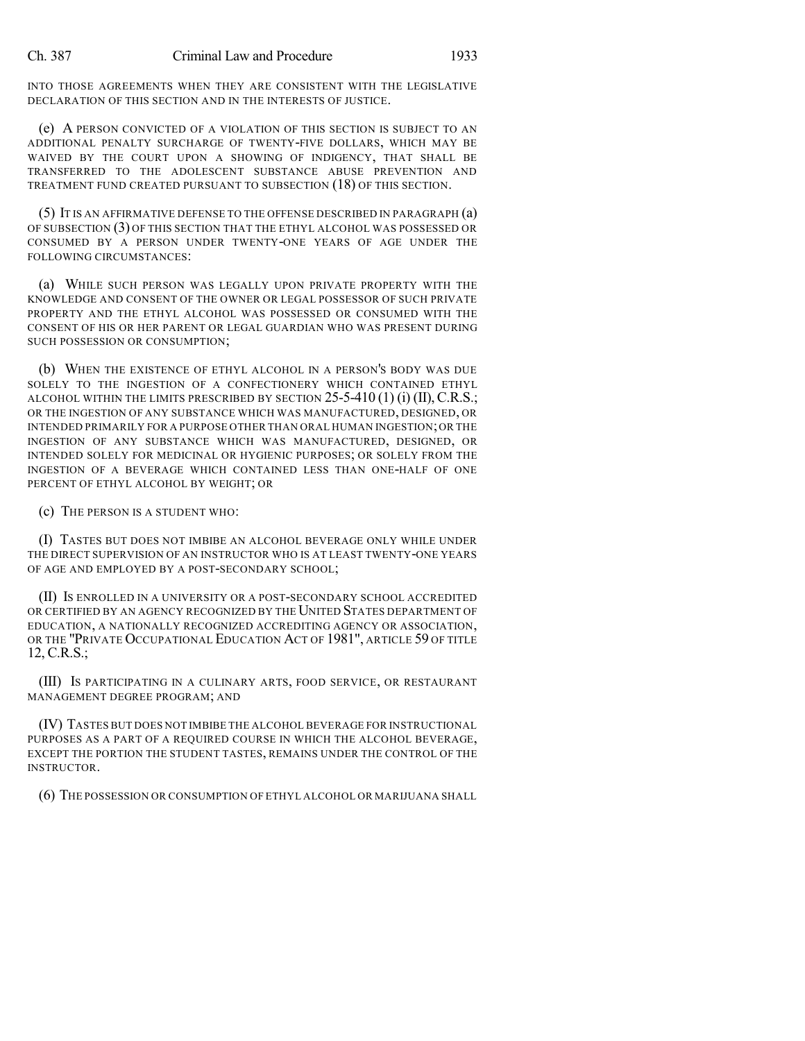INTO THOSE AGREEMENTS WHEN THEY ARE CONSISTENT WITH THE LEGISLATIVE DECLARATION OF THIS SECTION AND IN THE INTERESTS OF JUSTICE.

(e) A PERSON CONVICTED OF A VIOLATION OF THIS SECTION IS SUBJECT TO AN ADDITIONAL PENALTY SURCHARGE OF TWENTY-FIVE DOLLARS, WHICH MAY BE WAIVED BY THE COURT UPON A SHOWING OF INDIGENCY, THAT SHALL BE TRANSFERRED TO THE ADOLESCENT SUBSTANCE ABUSE PREVENTION AND TREATMENT FUND CREATED PURSUANT TO SUBSECTION (18) OF THIS SECTION.

(5) IT IS AN AFFIRMATIVE DEFENSE TO THE OFFENSE DESCRIBED IN PARAGRAPH (a) OF SUBSECTION (3) OF THIS SECTION THAT THE ETHYL ALCOHOL WAS POSSESSED OR CONSUMED BY A PERSON UNDER TWENTY-ONE YEARS OF AGE UNDER THE FOLLOWING CIRCUMSTANCES:

(a) WHILE SUCH PERSON WAS LEGALLY UPON PRIVATE PROPERTY WITH THE KNOWLEDGE AND CONSENT OF THE OWNER OR LEGAL POSSESSOR OF SUCH PRIVATE PROPERTY AND THE ETHYL ALCOHOL WAS POSSESSED OR CONSUMED WITH THE CONSENT OF HIS OR HER PARENT OR LEGAL GUARDIAN WHO WAS PRESENT DURING SUCH POSSESSION OR CONSUMPTION;

(b) WHEN THE EXISTENCE OF ETHYL ALCOHOL IN A PERSON'S BODY WAS DUE SOLELY TO THE INGESTION OF A CONFECTIONERY WHICH CONTAINED ETHYL ALCOHOL WITHIN THE LIMITS PRESCRIBED BY SECTION  $25$ -5-410 (1) (i) (II), C.R.S.; OR THE INGESTION OF ANY SUBSTANCE WHICH WAS MANUFACTURED, DESIGNED, OR INTENDED PRIMARILY FOR A PURPOSE OTHER THAN ORAL HUMAN INGESTION;OR THE INGESTION OF ANY SUBSTANCE WHICH WAS MANUFACTURED, DESIGNED, OR INTENDED SOLELY FOR MEDICINAL OR HYGIENIC PURPOSES; OR SOLELY FROM THE INGESTION OF A BEVERAGE WHICH CONTAINED LESS THAN ONE-HALF OF ONE PERCENT OF ETHYL ALCOHOL BY WEIGHT; OR

(c) THE PERSON IS A STUDENT WHO:

(I) TASTES BUT DOES NOT IMBIBE AN ALCOHOL BEVERAGE ONLY WHILE UNDER THE DIRECT SUPERVISION OF AN INSTRUCTOR WHO IS AT LEAST TWENTY-ONE YEARS OF AGE AND EMPLOYED BY A POST-SECONDARY SCHOOL;

(II) IS ENROLLED IN A UNIVERSITY OR A POST-SECONDARY SCHOOL ACCREDITED OR CERTIFIED BY AN AGENCY RECOGNIZED BY THE UNITED STATES DEPARTMENT OF EDUCATION, A NATIONALLY RECOGNIZED ACCREDITING AGENCY OR ASSOCIATION, OR THE "PRIVATE OCCUPATIONAL EDUCATION ACT OF 1981", ARTICLE 59 OF TITLE 12, C.R.S.;

(III) IS PARTICIPATING IN A CULINARY ARTS, FOOD SERVICE, OR RESTAURANT MANAGEMENT DEGREE PROGRAM; AND

(IV) TASTES BUT DOES NOT IMBIBE THE ALCOHOL BEVERAGE FOR INSTRUCTIONAL PURPOSES AS A PART OF A REQUIRED COURSE IN WHICH THE ALCOHOL BEVERAGE, EXCEPT THE PORTION THE STUDENT TASTES, REMAINS UNDER THE CONTROL OF THE INSTRUCTOR.

(6) THE POSSESSION OR CONSUMPTION OF ETHYL ALCOHOL OR MARIJUANA SHALL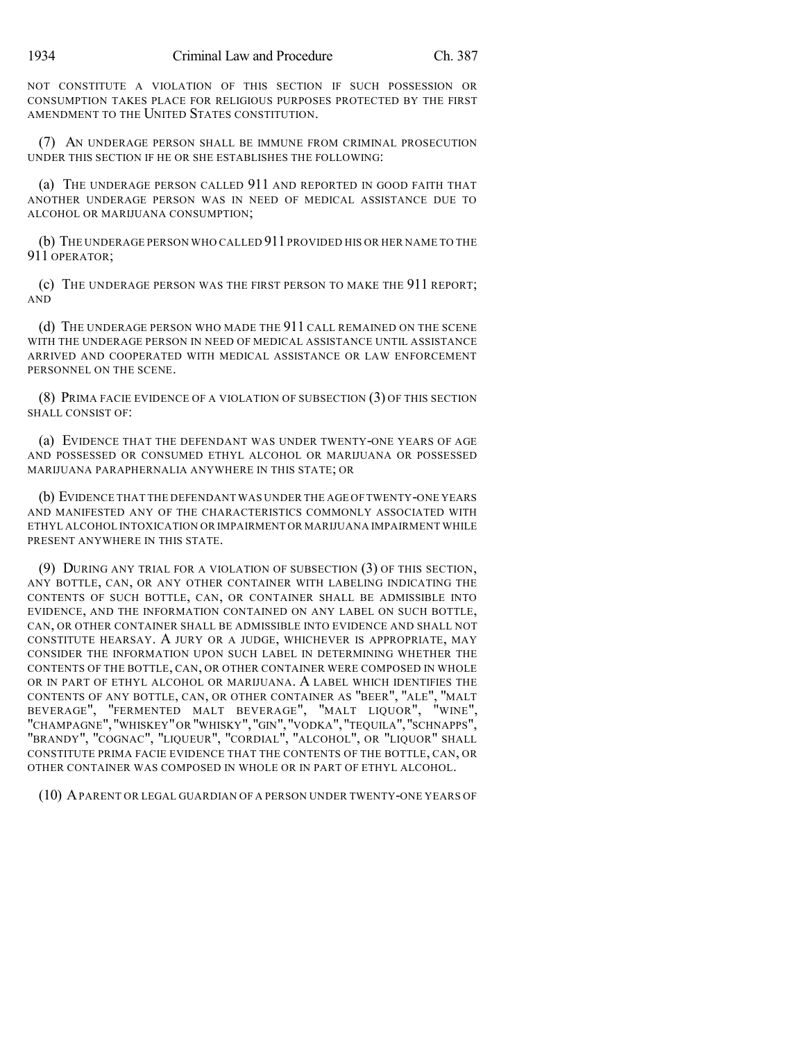NOT CONSTITUTE A VIOLATION OF THIS SECTION IF SUCH POSSESSION OR CONSUMPTION TAKES PLACE FOR RELIGIOUS PURPOSES PROTECTED BY THE FIRST AMENDMENT TO THE UNITED STATES CONSTITUTION.

(7) AN UNDERAGE PERSON SHALL BE IMMUNE FROM CRIMINAL PROSECUTION UNDER THIS SECTION IF HE OR SHE ESTABLISHES THE FOLLOWING:

(a) THE UNDERAGE PERSON CALLED 911 AND REPORTED IN GOOD FAITH THAT ANOTHER UNDERAGE PERSON WAS IN NEED OF MEDICAL ASSISTANCE DUE TO ALCOHOL OR MARIJUANA CONSUMPTION;

(b) THE UNDERAGE PERSON WHO CALLED 911 PROVIDED HIS OR HER NAME TO THE 911 OPERATOR;

(c) THE UNDERAGE PERSON WAS THE FIRST PERSON TO MAKE THE 911 REPORT; AND

(d) THE UNDERAGE PERSON WHO MADE THE 911 CALL REMAINED ON THE SCENE WITH THE UNDERAGE PERSON IN NEED OF MEDICAL ASSISTANCE UNTIL ASSISTANCE ARRIVED AND COOPERATED WITH MEDICAL ASSISTANCE OR LAW ENFORCEMENT PERSONNEL ON THE SCENE.

(8) PRIMA FACIE EVIDENCE OF A VIOLATION OF SUBSECTION (3) OF THIS SECTION SHALL CONSIST OF:

(a) EVIDENCE THAT THE DEFENDANT WAS UNDER TWENTY-ONE YEARS OF AGE AND POSSESSED OR CONSUMED ETHYL ALCOHOL OR MARIJUANA OR POSSESSED MARIJUANA PARAPHERNALIA ANYWHERE IN THIS STATE; OR

(b) EVIDENCE THAT THE DEFENDANT WAS UNDER THE AGE OFTWENTY-ONE YEARS AND MANIFESTED ANY OF THE CHARACTERISTICS COMMONLY ASSOCIATED WITH ETHYL ALCOHOL INTOXICATION OR IMPAIRMENT OR MARIJUANA IMPAIRMENT WHILE PRESENT ANYWHERE IN THIS STATE.

(9) DURING ANY TRIAL FOR A VIOLATION OF SUBSECTION (3) OF THIS SECTION, ANY BOTTLE, CAN, OR ANY OTHER CONTAINER WITH LABELING INDICATING THE CONTENTS OF SUCH BOTTLE, CAN, OR CONTAINER SHALL BE ADMISSIBLE INTO EVIDENCE, AND THE INFORMATION CONTAINED ON ANY LABEL ON SUCH BOTTLE, CAN, OR OTHER CONTAINER SHALL BE ADMISSIBLE INTO EVIDENCE AND SHALL NOT CONSTITUTE HEARSAY. A JURY OR A JUDGE, WHICHEVER IS APPROPRIATE, MAY CONSIDER THE INFORMATION UPON SUCH LABEL IN DETERMINING WHETHER THE CONTENTS OF THE BOTTLE, CAN, OR OTHER CONTAINER WERE COMPOSED IN WHOLE OR IN PART OF ETHYL ALCOHOL OR MARIJUANA. A LABEL WHICH IDENTIFIES THE CONTENTS OF ANY BOTTLE, CAN, OR OTHER CONTAINER AS "BEER", "ALE", "MALT BEVERAGE", "FERMENTED MALT BEVERAGE", "MALT LIQUOR", "WINE", "CHAMPAGNE","WHISKEY"OR "WHISKY","GIN","VODKA","TEQUILA","SCHNAPPS", "BRANDY", "COGNAC", "LIQUEUR", "CORDIAL", "ALCOHOL", OR "LIQUOR" SHALL CONSTITUTE PRIMA FACIE EVIDENCE THAT THE CONTENTS OF THE BOTTLE, CAN, OR OTHER CONTAINER WAS COMPOSED IN WHOLE OR IN PART OF ETHYL ALCOHOL.

(10) APARENT OR LEGAL GUARDIAN OF A PERSON UNDER TWENTY-ONE YEARS OF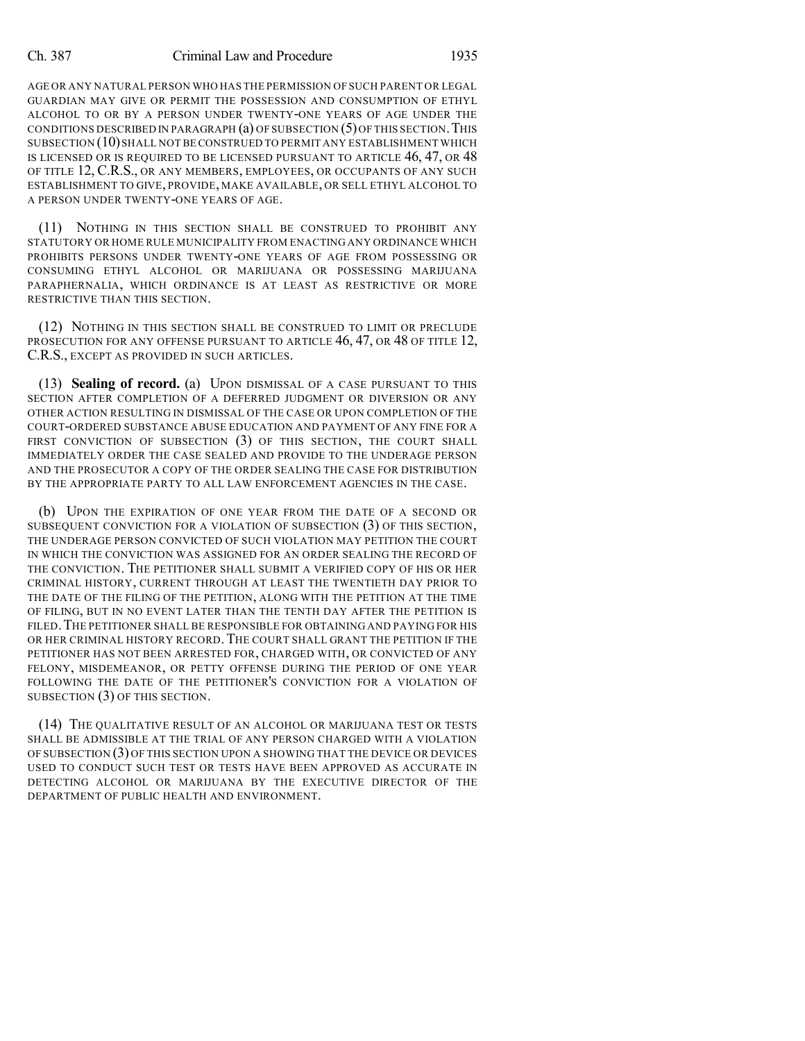## Ch. 387 Criminal Law and Procedure 1935

AGE OR ANY NATURAL PERSON WHO HAS THE PERMISSION OF SUCH PARENT OR LEGAL GUARDIAN MAY GIVE OR PERMIT THE POSSESSION AND CONSUMPTION OF ETHYL ALCOHOL TO OR BY A PERSON UNDER TWENTY-ONE YEARS OF AGE UNDER THE CONDITIONS DESCRIBED IN PARAGRAPH  $(a)$  OF SUBSECTION  $(5)$  OF THIS SECTION. THIS SUBSECTION (10) SHALL NOT BE CONSTRUED TO PERMIT ANY ESTABLISHMENT WHICH IS LICENSED OR IS REQUIRED TO BE LICENSED PURSUANT TO ARTICLE 46, 47, OR 48 OF TITLE 12, C.R.S., OR ANY MEMBERS, EMPLOYEES, OR OCCUPANTS OF ANY SUCH ESTABLISHMENT TO GIVE, PROVIDE, MAKE AVAILABLE, OR SELL ETHYL ALCOHOL TO A PERSON UNDER TWENTY-ONE YEARS OF AGE.

(11) NOTHING IN THIS SECTION SHALL BE CONSTRUED TO PROHIBIT ANY STATUTORY OR HOME RULE MUNICIPALITY FROM ENACTING ANY ORDINANCE WHICH PROHIBITS PERSONS UNDER TWENTY-ONE YEARS OF AGE FROM POSSESSING OR CONSUMING ETHYL ALCOHOL OR MARIJUANA OR POSSESSING MARIJUANA PARAPHERNALIA, WHICH ORDINANCE IS AT LEAST AS RESTRICTIVE OR MORE RESTRICTIVE THAN THIS SECTION.

(12) NOTHING IN THIS SECTION SHALL BE CONSTRUED TO LIMIT OR PRECLUDE PROSECUTION FOR ANY OFFENSE PURSUANT TO ARTICLE 46, 47, OR 48 OF TITLE 12, C.R.S., EXCEPT AS PROVIDED IN SUCH ARTICLES.

(13) **Sealing of record.** (a) UPON DISMISSAL OF A CASE PURSUANT TO THIS SECTION AFTER COMPLETION OF A DEFERRED JUDGMENT OR DIVERSION OR ANY OTHER ACTION RESULTING IN DISMISSAL OF THE CASE OR UPON COMPLETION OF THE COURT-ORDERED SUBSTANCE ABUSE EDUCATION AND PAYMENT OF ANY FINE FOR A FIRST CONVICTION OF SUBSECTION (3) OF THIS SECTION, THE COURT SHALL IMMEDIATELY ORDER THE CASE SEALED AND PROVIDE TO THE UNDERAGE PERSON AND THE PROSECUTOR A COPY OF THE ORDER SEALING THE CASE FOR DISTRIBUTION BY THE APPROPRIATE PARTY TO ALL LAW ENFORCEMENT AGENCIES IN THE CASE.

(b) UPON THE EXPIRATION OF ONE YEAR FROM THE DATE OF A SECOND OR SUBSEQUENT CONVICTION FOR A VIOLATION OF SUBSECTION (3) OF THIS SECTION, THE UNDERAGE PERSON CONVICTED OF SUCH VIOLATION MAY PETITION THE COURT IN WHICH THE CONVICTION WAS ASSIGNED FOR AN ORDER SEALING THE RECORD OF THE CONVICTION. THE PETITIONER SHALL SUBMIT A VERIFIED COPY OF HIS OR HER CRIMINAL HISTORY, CURRENT THROUGH AT LEAST THE TWENTIETH DAY PRIOR TO THE DATE OF THE FILING OF THE PETITION, ALONG WITH THE PETITION AT THE TIME OF FILING, BUT IN NO EVENT LATER THAN THE TENTH DAY AFTER THE PETITION IS FILED.THE PETITIONER SHALL BE RESPONSIBLE FOR OBTAINING AND PAYING FOR HIS OR HER CRIMINAL HISTORY RECORD. THE COURT SHALL GRANT THE PETITION IF THE PETITIONER HAS NOT BEEN ARRESTED FOR, CHARGED WITH, OR CONVICTED OF ANY FELONY, MISDEMEANOR, OR PETTY OFFENSE DURING THE PERIOD OF ONE YEAR FOLLOWING THE DATE OF THE PETITIONER'S CONVICTION FOR A VIOLATION OF SUBSECTION (3) OF THIS SECTION.

(14) THE QUALITATIVE RESULT OF AN ALCOHOL OR MARIJUANA TEST OR TESTS SHALL BE ADMISSIBLE AT THE TRIAL OF ANY PERSON CHARGED WITH A VIOLATION OF SUBSECTION (3) OF THIS SECTION UPON A SHOWING THAT THE DEVICE OR DEVICES USED TO CONDUCT SUCH TEST OR TESTS HAVE BEEN APPROVED AS ACCURATE IN DETECTING ALCOHOL OR MARIJUANA BY THE EXECUTIVE DIRECTOR OF THE DEPARTMENT OF PUBLIC HEALTH AND ENVIRONMENT.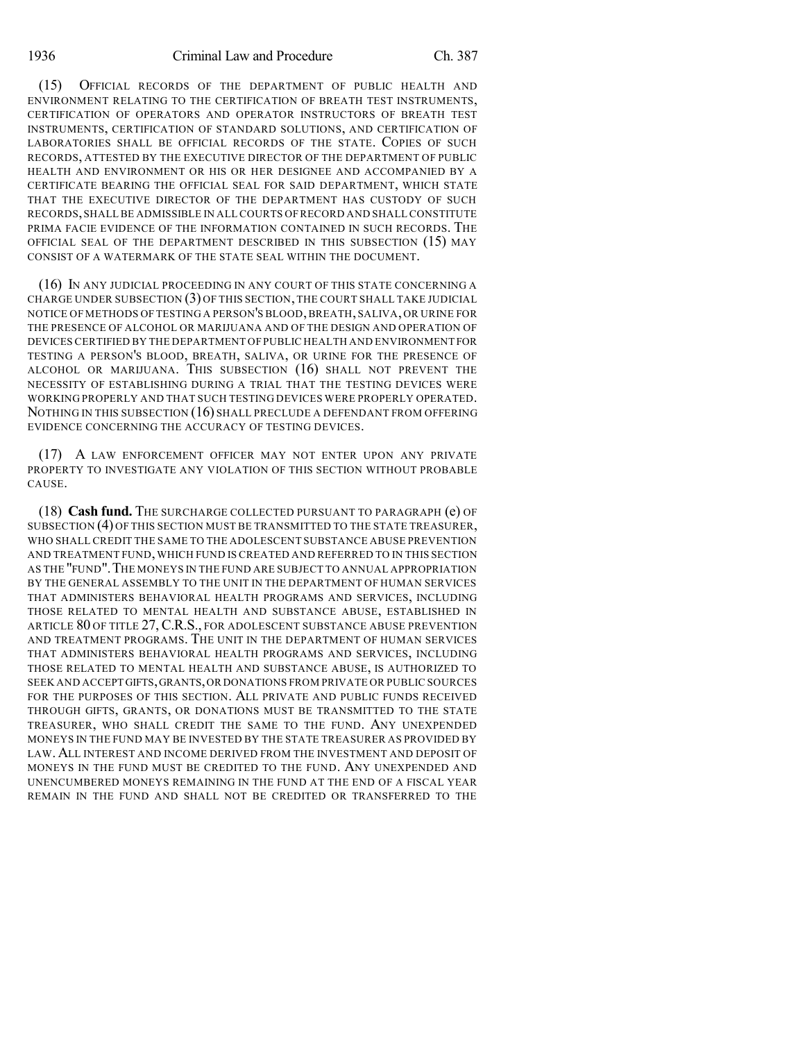(15) OFFICIAL RECORDS OF THE DEPARTMENT OF PUBLIC HEALTH AND ENVIRONMENT RELATING TO THE CERTIFICATION OF BREATH TEST INSTRUMENTS, CERTIFICATION OF OPERATORS AND OPERATOR INSTRUCTORS OF BREATH TEST INSTRUMENTS, CERTIFICATION OF STANDARD SOLUTIONS, AND CERTIFICATION OF LABORATORIES SHALL BE OFFICIAL RECORDS OF THE STATE. COPIES OF SUCH RECORDS, ATTESTED BY THE EXECUTIVE DIRECTOR OF THE DEPARTMENT OF PUBLIC HEALTH AND ENVIRONMENT OR HIS OR HER DESIGNEE AND ACCOMPANIED BY A CERTIFICATE BEARING THE OFFICIAL SEAL FOR SAID DEPARTMENT, WHICH STATE THAT THE EXECUTIVE DIRECTOR OF THE DEPARTMENT HAS CUSTODY OF SUCH RECORDS,SHALLBE ADMISSIBLE IN ALL COURTS OFRECORD AND SHALL CONSTITUTE PRIMA FACIE EVIDENCE OF THE INFORMATION CONTAINED IN SUCH RECORDS. THE OFFICIAL SEAL OF THE DEPARTMENT DESCRIBED IN THIS SUBSECTION (15) MAY CONSIST OF A WATERMARK OF THE STATE SEAL WITHIN THE DOCUMENT.

(16) IN ANY JUDICIAL PROCEEDING IN ANY COURT OF THIS STATE CONCERNING A CHARGE UNDER SUBSECTION (3) OF THIS SECTION, THE COURT SHALL TAKE JUDICIAL NOTICE OF METHODS OF TESTING A PERSON'S BLOOD,BREATH, SALIVA, OR URINE FOR THE PRESENCE OF ALCOHOL OR MARIJUANA AND OF THE DESIGN AND OPERATION OF DEVICES CERTIFIED BY THE DEPARTMENT OF PUBLIC HEALTH AND ENVIRONMENT FOR TESTING A PERSON'S BLOOD, BREATH, SALIVA, OR URINE FOR THE PRESENCE OF ALCOHOL OR MARIJUANA. THIS SUBSECTION (16) SHALL NOT PREVENT THE NECESSITY OF ESTABLISHING DURING A TRIAL THAT THE TESTING DEVICES WERE WORKING PROPERLY AND THAT SUCH TESTING DEVICES WERE PROPERLY OPERATED. NOTHING IN THIS SUBSECTION (16) SHALL PRECLUDE A DEFENDANT FROM OFFERING EVIDENCE CONCERNING THE ACCURACY OF TESTING DEVICES.

(17) A LAW ENFORCEMENT OFFICER MAY NOT ENTER UPON ANY PRIVATE PROPERTY TO INVESTIGATE ANY VIOLATION OF THIS SECTION WITHOUT PROBABLE CAUSE.

(18) **Cash fund.** THE SURCHARGE COLLECTED PURSUANT TO PARAGRAPH (e) OF SUBSECTION (4) OF THIS SECTION MUST BE TRANSMITTED TO THE STATE TREASURER, WHO SHALL CREDIT THE SAME TO THE ADOLESCENT SUBSTANCE ABUSE PREVENTION AND TREATMENT FUND,WHICH FUND IS CREATED AND REFERRED TO IN THIS SECTION AS THE "FUND".THE MONEYS IN THE FUND ARE SUBJECT TO ANNUAL APPROPRIATION BY THE GENERAL ASSEMBLY TO THE UNIT IN THE DEPARTMENT OF HUMAN SERVICES THAT ADMINISTERS BEHAVIORAL HEALTH PROGRAMS AND SERVICES, INCLUDING THOSE RELATED TO MENTAL HEALTH AND SUBSTANCE ABUSE, ESTABLISHED IN ARTICLE 80 OF TITLE 27, C.R.S., FOR ADOLESCENT SUBSTANCE ABUSE PREVENTION AND TREATMENT PROGRAMS. THE UNIT IN THE DEPARTMENT OF HUMAN SERVICES THAT ADMINISTERS BEHAVIORAL HEALTH PROGRAMS AND SERVICES, INCLUDING THOSE RELATED TO MENTAL HEALTH AND SUBSTANCE ABUSE, IS AUTHORIZED TO SEEK AND ACCEPT GIFTS,GRANTS,OR DONATIONS FROM PRIVATE OR PUBLIC SOURCES FOR THE PURPOSES OF THIS SECTION. ALL PRIVATE AND PUBLIC FUNDS RECEIVED THROUGH GIFTS, GRANTS, OR DONATIONS MUST BE TRANSMITTED TO THE STATE TREASURER, WHO SHALL CREDIT THE SAME TO THE FUND. ANY UNEXPENDED MONEYS IN THE FUND MAY BE INVESTED BY THE STATE TREASURER AS PROVIDED BY LAW.ALL INTEREST AND INCOME DERIVED FROM THE INVESTMENT AND DEPOSIT OF MONEYS IN THE FUND MUST BE CREDITED TO THE FUND. ANY UNEXPENDED AND UNENCUMBERED MONEYS REMAINING IN THE FUND AT THE END OF A FISCAL YEAR REMAIN IN THE FUND AND SHALL NOT BE CREDITED OR TRANSFERRED TO THE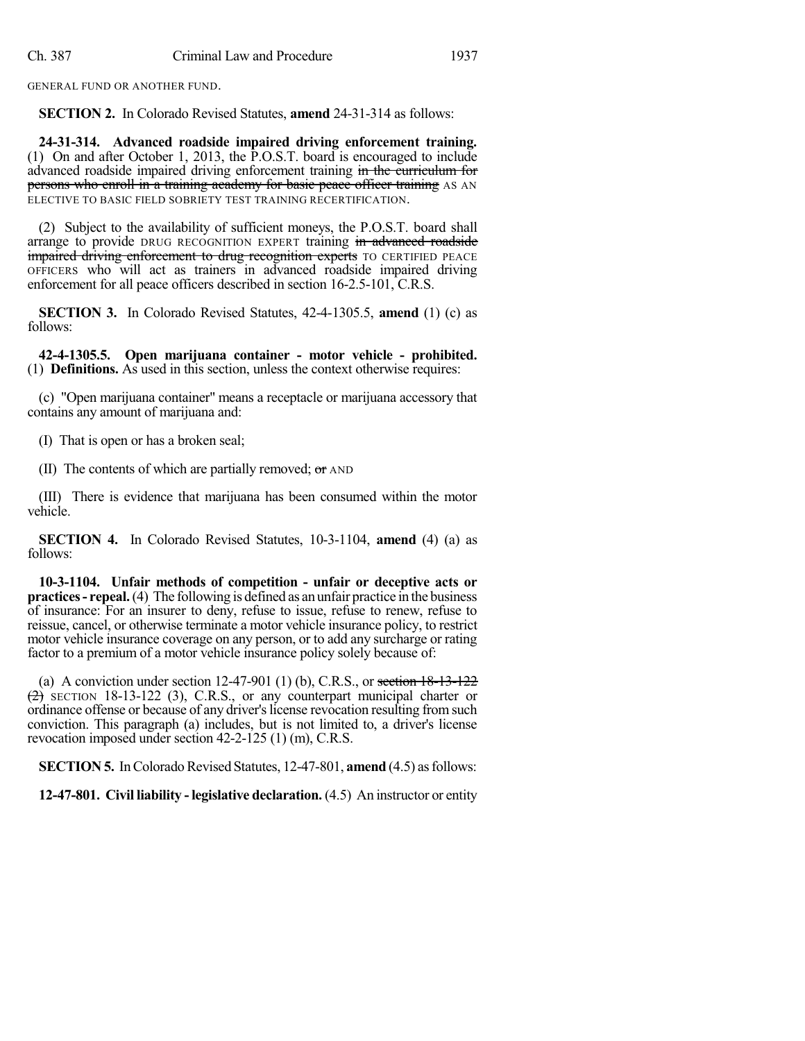GENERAL FUND OR ANOTHER FUND.

**SECTION 2.** In Colorado Revised Statutes, **amend** 24-31-314 as follows:

**24-31-314. Advanced roadside impaired driving enforcement training.** (1) On and after October 1, 2013, the P.O.S.T. board is encouraged to include advanced roadside impaired driving enforcement training in the curriculum for persons who enroll in a training academy for basic peace officer training AS AN ELECTIVE TO BASIC FIELD SOBRIETY TEST TRAINING RECERTIFICATION.

(2) Subject to the availability of sufficient moneys, the P.O.S.T. board shall arrange to provide DRUG RECOGNITION EXPERT training in advanced roadside impaired driving enforcement to drug recognition experts TO CERTIFIED PEACE OFFICERS who will act as trainers in advanced roadside impaired driving enforcement for all peace officers described in section 16-2.5-101, C.R.S.

**SECTION 3.** In Colorado Revised Statutes, 42-4-1305.5, **amend** (1) (c) as follows:

**42-4-1305.5. Open marijuana container - motor vehicle - prohibited.** (1) **Definitions.** As used in this section, unless the context otherwise requires:

(c) "Open marijuana container" means a receptacle or marijuana accessory that contains any amount of marijuana and:

(I) That is open or has a broken seal;

(II) The contents of which are partially removed; or AND

(III) There is evidence that marijuana has been consumed within the motor vehicle.

**SECTION 4.** In Colorado Revised Statutes, 10-3-1104, **amend** (4) (a) as follows:

**10-3-1104. Unfair methods of competition - unfair or deceptive acts or practices- repeal.**(4) The following is defined as an unfair practice in the business of insurance: For an insurer to deny, refuse to issue, refuse to renew, refuse to reissue, cancel, or otherwise terminate a motor vehicle insurance policy, to restrict motor vehicle insurance coverage on any person, or to add any surcharge or rating factor to a premium of a motor vehicle insurance policy solely because of:

(a) A conviction under section  $12-47-901$  (1) (b), C.R.S., or section  $18-13-122$  $(2)$  SECTION 18-13-122 (3), C.R.S., or any counterpart municipal charter or ordinance offense or because of any driver's license revocation resulting from such conviction. This paragraph (a) includes, but is not limited to, a driver's license revocation imposed under section 42-2-125 (1) (m), C.R.S.

**SECTION 5.** In Colorado Revised Statutes, 12-47-801, **amend** (4.5) as follows:

**12-47-801. Civil liability - legislative declaration.** (4.5) An instructor or entity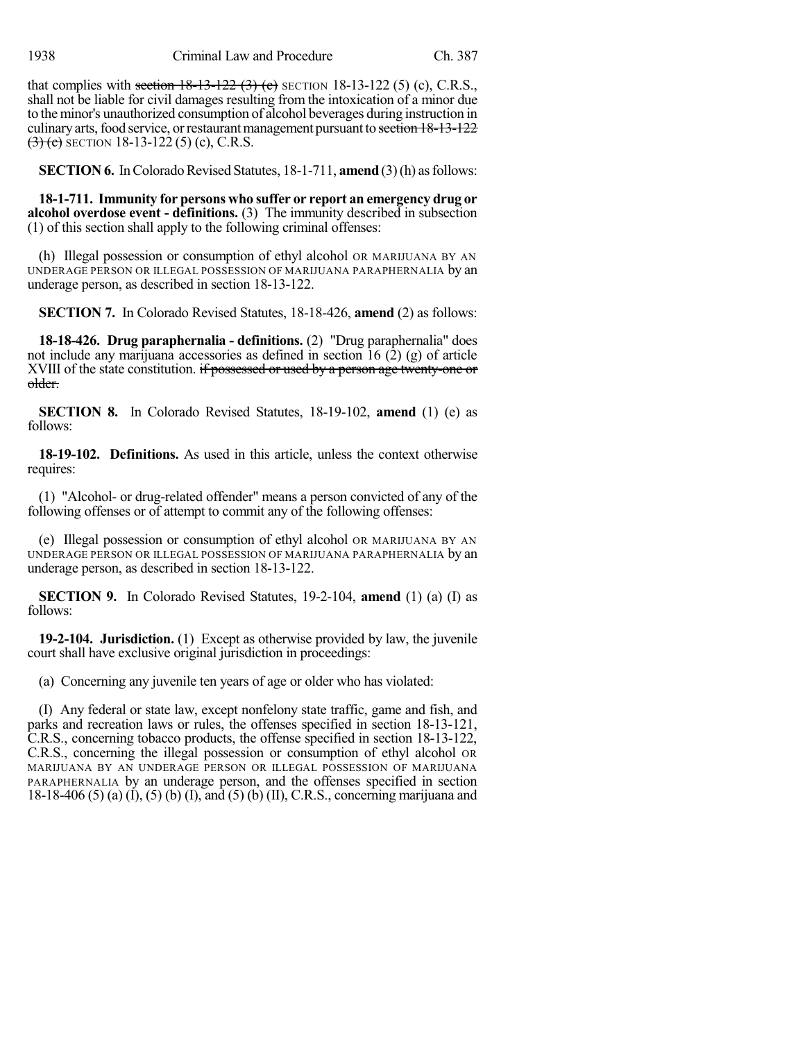1938 Criminal Law and Procedure Ch. 387

that complies with section  $18-13-122$  (3) (c) SECTION 18-13-122 (5) (c), C.R.S., shall not be liable for civil damages resulting from the intoxication of a minor due to the minor's unauthorized consumption of alcohol beverages during instruction in culinary arts, food service, or restaurant management pursuant to section 18-13-122  $(3)$  (c) SECTION 18-13-122 (5) (c), C.R.S.

**SECTION 6.** In Colorado Revised Statutes, 18-1-711, **amend** (3)(h) as follows:

**18-1-711. Immunity for persons who suffer or report an emergency drug or alcohol overdose event - definitions.** (3) The immunity described in subsection (1) of this section shall apply to the following criminal offenses:

(h) Illegal possession or consumption of ethyl alcohol OR MARIJUANA BY AN UNDERAGE PERSON OR ILLEGAL POSSESSION OF MARIJUANA PARAPHERNALIA by an underage person, as described in section 18-13-122.

**SECTION 7.** In Colorado Revised Statutes, 18-18-426, **amend** (2) as follows:

**18-18-426. Drug paraphernalia - definitions.** (2) "Drug paraphernalia" does not include any marijuana accessories as defined in section  $16(2)(g)$  of article XVIII of the state constitution. if possessed or used by a person age twenty-one or older.

**SECTION 8.** In Colorado Revised Statutes, 18-19-102, **amend** (1) (e) as follows:

**18-19-102. Definitions.** As used in this article, unless the context otherwise requires:

(1) "Alcohol- or drug-related offender" means a person convicted of any of the following offenses or of attempt to commit any of the following offenses:

(e) Illegal possession or consumption of ethyl alcohol OR MARIJUANA BY AN UNDERAGE PERSON OR ILLEGAL POSSESSION OF MARIJUANA PARAPHERNALIA by an underage person, as described in section 18-13-122.

**SECTION 9.** In Colorado Revised Statutes, 19-2-104, **amend** (1) (a) (I) as follows:

**19-2-104. Jurisdiction.** (1) Except as otherwise provided by law, the juvenile court shall have exclusive original jurisdiction in proceedings:

(a) Concerning any juvenile ten years of age or older who has violated:

(I) Any federal or state law, except nonfelony state traffic, game and fish, and parks and recreation laws or rules, the offenses specified in section 18-13-121, C.R.S., concerning tobacco products, the offense specified in section 18-13-122, C.R.S., concerning the illegal possession or consumption of ethyl alcohol OR MARIJUANA BY AN UNDERAGE PERSON OR ILLEGAL POSSESSION OF MARIJUANA PARAPHERNALIA by an underage person, and the offenses specified in section 18-18-406 (5) (a) (I), (5) (b) (I), and (5) (b) (II), C.R.S., concerning marijuana and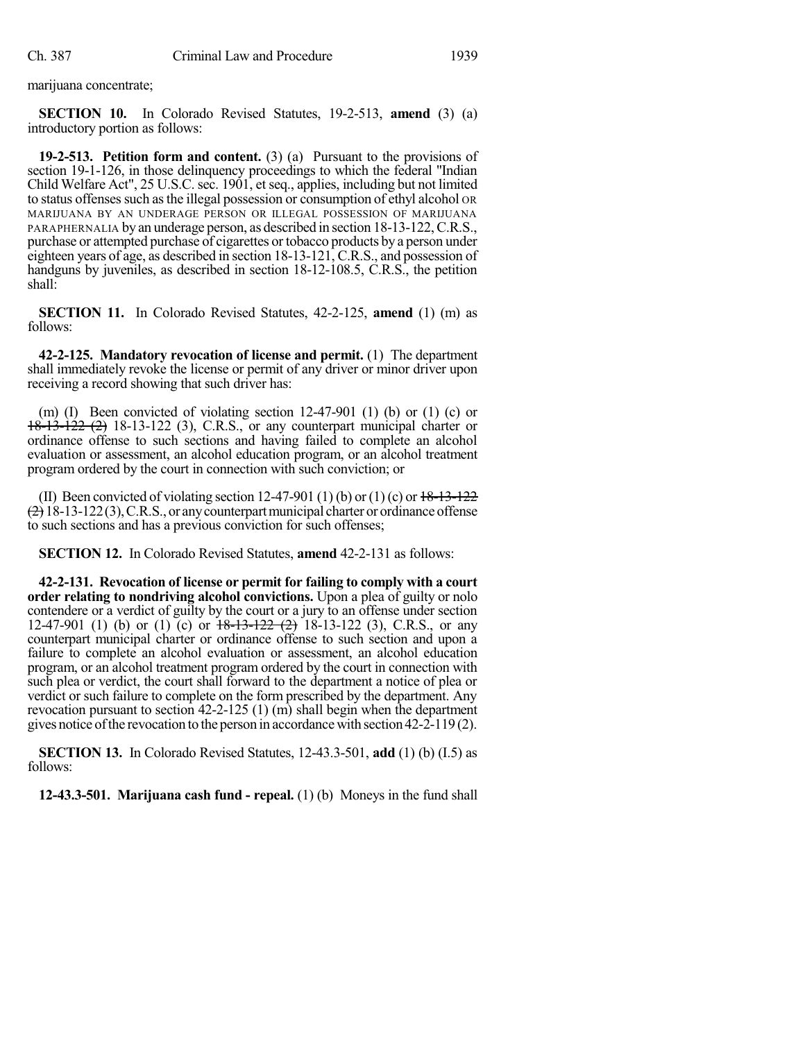marijuana concentrate;

**SECTION 10.** In Colorado Revised Statutes, 19-2-513, **amend** (3) (a) introductory portion as follows:

**19-2-513. Petition form and content.** (3) (a) Pursuant to the provisions of section 19-1-126, in those delinquency proceedings to which the federal "Indian Child Welfare Act", 25 U.S.C. sec. 1901, et seq., applies, including but not limited to status offenses such as the illegal possession or consumption of ethyl alcohol OR MARIJUANA BY AN UNDERAGE PERSON OR ILLEGAL POSSESSION OF MARIJUANA PARAPHERNALIA by an underage person, as described in section 18-13-122, C.R.S., purchase or attempted purchase of cigarettes or tobacco products by a person under eighteen years of age, as described in section 18-13-121, C.R.S., and possession of handguns by juveniles, as described in section 18-12-108.5, C.R.S., the petition shall:

**SECTION 11.** In Colorado Revised Statutes, 42-2-125, **amend** (1) (m) as follows:

**42-2-125. Mandatory revocation of license and permit.** (1) The department shall immediately revoke the license or permit of any driver or minor driver upon receiving a record showing that such driver has:

(m) (I) Been convicted of violating section  $12-47-901$  (1) (b) or (1) (c) or 18-13-122 (2) 18-13-122 (3), C.R.S., or any counterpart municipal charter or ordinance offense to such sections and having failed to complete an alcohol evaluation or assessment, an alcohol education program, or an alcohol treatment program ordered by the court in connection with such conviction; or

(II) Been convicted of violating section 12-47-901 (1) (b) or (1) (c) or  $18-13-122$  $(2)$  18-13-122(3), C.R.S., or any counterpart municipal charter or ordinance offense to such sections and has a previous conviction for such offenses;

**SECTION 12.** In Colorado Revised Statutes, **amend** 42-2-131 as follows:

**42-2-131. Revocation of license or permit for failing to comply with a court order relating to nondriving alcohol convictions.** Upon a plea of guilty or nolo contendere or a verdict of guilty by the court or a jury to an offense under section 12-47-901 (1) (b) or (1) (c) or  $18-13-122$  (2) 18-13-122 (3), C.R.S., or any counterpart municipal charter or ordinance offense to such section and upon a failure to complete an alcohol evaluation or assessment, an alcohol education program, or an alcohol treatment program ordered by the court in connection with such plea or verdict, the court shall forward to the department a notice of plea or verdict or such failure to complete on the form prescribed by the department. Any revocation pursuant to section 42-2-125 (1) (m) shall begin when the department gives notice ofthe revocation to the person in accordance with section 42-2-119 (2).

**SECTION 13.** In Colorado Revised Statutes, 12-43.3-501, **add** (1) (b) (I.5) as follows:

**12-43.3-501. Marijuana cash fund - repeal.** (1) (b) Moneys in the fund shall